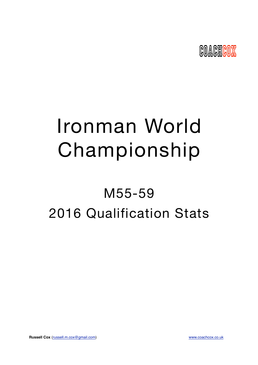

# Ironman World Championship

## M55-59 2016 Qualification Stats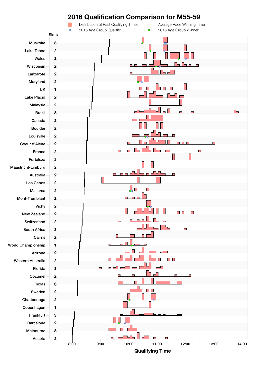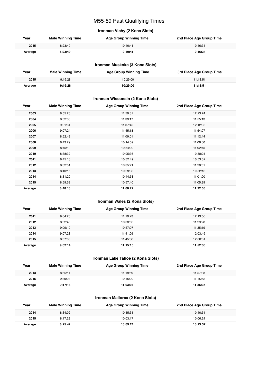## M55-59 Past Qualifying Times

#### **Ironman Vichy (2 Kona Slots)**

| Year    | <b>Male Winning Time</b> | <b>Age Group Winning Time</b> | 2nd Place Age Group Time |
|---------|--------------------------|-------------------------------|--------------------------|
| 2015    | 8:23:49                  | 10:40:41                      | 10:46:34                 |
| Average | 8:23:49                  | 10:40:41                      | 10:46:34                 |

#### **Ironman Muskoka (3 Kona Slots)**

| Year    | <b>Male Winning Time</b> | <b>Age Group Winning Time</b> | 3rd Place Age Group Time |
|---------|--------------------------|-------------------------------|--------------------------|
| 2015    | 9:19:28                  | 10:29:00                      | 11:18:51                 |
| Average | 9:19:28                  | 10:29:00                      | 11:18:51                 |

#### **Ironman Wisconsin (2 Kona Slots)**

| Year    | <b>Male Winning Time</b> | <b>Age Group Winning Time</b> | 2nd Place Age Group Time |
|---------|--------------------------|-------------------------------|--------------------------|
| 2003    | 8:55:26                  | 11:59:31                      | 12:23:24                 |
| 2004    | 8:52:33                  | 11:39:17                      | 11:55:13                 |
| 2005    | 9:01:34                  | 11:37:45                      | 12:12:05                 |
| 2006    | 9:07:24                  | 11:45:18                      | 11:54:07                 |
| 2007    | 8:52:49                  | 11:09:01                      | 11:12:44                 |
| 2008    | 8:43:29                  | 10:14:59                      | 11:06:00                 |
| 2009    | 8:45:19                  | 10:54:09                      | 11:02:45                 |
| 2010    | 8:38:32                  | 10:05:36                      | 10:58:24                 |
| 2011    | 8:45:18                  | 10:52:49                      | 10:53:32                 |
| 2012    | 8:32:51                  | 10:35:21                      | 11:20:51                 |
| 2013    | 8:40:15                  | 10:29:33                      | 10:52:13                 |
| 2014    | 8:31:20                  | 10:44:53                      | 11:01:00                 |
| 2015    | 8:59:59                  | 10:57:40                      | 11:05:39                 |
| Average | 8:48:13                  | 11:00:27                      | 11:22:55                 |

#### **Ironman Wales (2 Kona Slots)**

| Year    | <b>Male Winning Time</b> | <b>Age Group Winning Time</b> | 2nd Place Age Group Time |
|---------|--------------------------|-------------------------------|--------------------------|
| 2011    | 9:04:20                  | 11:19:23                      | 12:13:56                 |
| 2012    | 8:52:43                  | 10:33:03                      | 11:29:28                 |
| 2013    | 9:09:10                  | 10:57:07                      | 11:35:19                 |
| 2014    | 9:07:28                  | 11:41:09                      | 12:03:49                 |
| 2015    | 8:57:33                  | 11:45:36                      | 12:00:31                 |
| Average | 9:02:14                  | 11:15:15                      | 11:52:36                 |

#### **Ironman Lake Tahoe (2 Kona Slots)**

| Year    | <b>Male Winning Time</b> | <b>Age Group Winning Time</b> | 2nd Place Age Group Time |
|---------|--------------------------|-------------------------------|--------------------------|
| 2013    | 8:55:14                  | 11:19:59                      | 11:57:33                 |
| 2015    | 9:39:23                  | 10:46:09                      | 11:15:42                 |
| Average | 9:17:18                  | 11:03:04                      | 11:36:37                 |

#### **Ironman Mallorca (2 Kona Slots)**

| Year    | <b>Male Winning Time</b> | <b>Age Group Winning Time</b> | 2nd Place Age Group Time |
|---------|--------------------------|-------------------------------|--------------------------|
| 2014    | 8:34:02                  | 10:15:31                      | 10:40:51                 |
| 2015    | 8:17:22                  | 10:03:17                      | 10:06:24                 |
| Average | 8:25:42                  | 10:09:24                      | 10:23:37                 |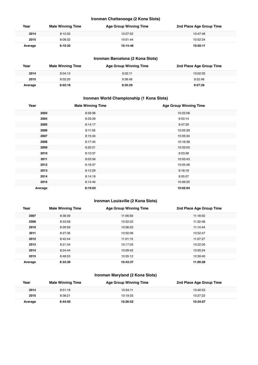#### **Ironman Chattanooga (2 Kona Slots)**

| Year    | <b>Male Winning Time</b> | <b>Age Group Winning Time</b> | 2nd Place Age Group Time |
|---------|--------------------------|-------------------------------|--------------------------|
| 2014    | 8:12:32                  | 10:27:52                      | 10:47:48                 |
| 2015    | 8:08:32                  | 10:01:44                      | 10:52:34                 |
| Average | 8:10:32                  | 10:14:48                      | 10:50:11                 |

#### **Ironman Barcelona (2 Kona Slots)**

| Year    | <b>Male Winning Time</b> | <b>Age Group Winning Time</b> | 2nd Place Age Group Time |
|---------|--------------------------|-------------------------------|--------------------------|
| 2014    | 8:04:13                  | 9:32:11                       | 10:02:05                 |
| 2015    | 8:02:20                  | 9:38:48                       | 9:52:48                  |
| Average | 8:03:16                  | 9:35:29                       | 9:57:26                  |

#### **Ironman World Championship (1 Kona Slots)**

| Year    | <b>Male Winning Time</b> | <b>Age Group Winning Time</b> |
|---------|--------------------------|-------------------------------|
| 2003    | 8:59:36                  | 10:22:08                      |
| 2004    | 8:33:29                  | 9:53:14                       |
| 2005    | 8:14:17                  | 9:47:29                       |
| 2006    | 8:11:56                  | 10:05:39                      |
| 2007    | 8:15:34                  | 10:05:34                      |
| 2008    | 8:17:45                  | 10:16:38                      |
| 2009    | 8:20:21                  | 10:33:03                      |
| 2010    | 8:10:37                  | 9:53:38                       |
| 2011    | 8:03:56                  | 10:03:43                      |
| 2012    | 8:18:37                  | 10:05:48                      |
| 2013    | 8:12:29                  | 9:18:18                       |
| 2014    | 8:14:18                  | 9:55:07                       |
| 2015    | 8:14:40                  | 10:06:35                      |
| Average | 8:19:02                  | 10:02:04                      |

#### **Ironman Louisville (2 Kona Slots)**

| Year    | <b>Male Winning Time</b> | <b>Age Group Winning Time</b> | 2nd Place Age Group Time |
|---------|--------------------------|-------------------------------|--------------------------|
| 2007    | 8:38:39                  | 11:06:59                      | 11:18:50                 |
| 2008    | 8:33:58                  | 10:52:22                      | 11:32:48                 |
| 2010    | 8:29:59                  | 10:56:23                      | 11:14:44                 |
| 2011    | 8:27:36                  | 10:50:06                      | 10:52:47                 |
| 2012    | 8:42:44                  | 11:01:15                      | 11:07:27                 |
| 2013    | 8:21:34                  | 10:17:03                      | 10:22:05                 |
| 2014    | 8:24:44                  | 10:09:42                      | 10:55:24                 |
| 2015    | 8:48:53                  | 10:35:12                      | 10:39:40                 |
| Average | 8:33:30                  | 10:43:37                      | 11:00:28                 |

#### **Ironman Maryland (2 Kona Slots)**

| Year    | <b>Male Winning Time</b> | <b>Age Group Winning Time</b> | 2nd Place Age Group Time |
|---------|--------------------------|-------------------------------|--------------------------|
| 2014    | 8:51:19                  | 10:34:11                      | 10:40:53                 |
| 2015    | 8:38:21                  | 10:19:33                      | 10:27:22                 |
| Average | 8:44:50                  | 10:26:52                      | 10:34:07                 |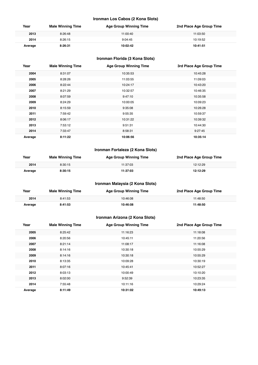#### **Ironman Los Cabos (2 Kona Slots)**

| Year    | <b>Male Winning Time</b> | <b>Age Group Winning Time</b> | 2nd Place Age Group Time |
|---------|--------------------------|-------------------------------|--------------------------|
| 2013    | 8:26:48                  | 11:00:40                      | 11:03:50                 |
| 2014    | 8:26:15                  | 9:04:45                       | 10:19:52                 |
| Average | 8:26:31                  | 10:02:42                      | 10:41:51                 |

#### **Ironman Florida (3 Kona Slots)**

| Year    | <b>Male Winning Time</b> | <b>Age Group Winning Time</b> | 3rd Place Age Group Time |
|---------|--------------------------|-------------------------------|--------------------------|
| 2004    | 8:31:07                  | 10:35:53                      | 10:45:28                 |
| 2005    | 8:28:26                  | 11:03:55                      | 11:09:03                 |
| 2006    | 8:22:44                  | 10:24:17                      | 10:43:20                 |
| 2007    | 8:21:29                  | 10:32:57                      | 10:46:35                 |
| 2008    | 8:07:59                  | 9:47:10                       | 10:35:58                 |
| 2009    | 8:24:29                  | 10:00:05                      | 10:09:23                 |
| 2010    | 8:15:59                  | 9:35:08                       | 10:26:28                 |
| 2011    | 7:59:42                  | 9:55:35                       | 10:59:37                 |
| 2012    | 8:06:17                  | 10:31:22                      | 10:39:32                 |
| 2013    | 7:53:12                  | 9:51:31                       | 10:44:30                 |
| 2014    | 7:33:47                  | 8:58:31                       | 9:27:45                  |
| Average | 8:11:22                  | 10:06:56                      | 10:35:14                 |

#### **Ironman Fortaleza (2 Kona Slots)**

| Year    | <b>Male Winning Time</b> | <b>Age Group Winning Time</b> | 2nd Place Age Group Time |
|---------|--------------------------|-------------------------------|--------------------------|
| 2014    | 8:30:15                  | 11:37:03                      | 12:12:29                 |
| Average | 8:30:15                  | 11:37:03                      | 12:12:29                 |

#### **Ironman Malaysia (2 Kona Slots)**

| Year    | <b>Male Winning Time</b> | <b>Age Group Winning Time</b> | 2nd Place Age Group Time |
|---------|--------------------------|-------------------------------|--------------------------|
| 2014    | 8:41:53                  | 10:46:08                      | 11:48:50                 |
| Average | 8:41:53                  | 10:46:08                      | 11:48:50                 |

#### **Ironman Arizona (2 Kona Slots)**

| Year    | <b>Male Winning Time</b> | <b>Age Group Winning Time</b> | 2nd Place Age Group Time |
|---------|--------------------------|-------------------------------|--------------------------|
| 2005    | 8:25:42                  | 11:16:23                      | 11:18:08                 |
| 2006    | 8:20:56                  | 10:45:11                      | 11:20:56                 |
| 2007    | 8:21:14                  | 11:08:17                      | 11:16:08                 |
| 2008    | 8:14:16                  | 10:30:18                      | 10:55:29                 |
| 2009    | 8:14:16                  | 10:30:18                      | 10:55:29                 |
| 2010    | 8:13:35                  | 10:09:28                      | 10:30:19                 |
| 2011    | 8:07:16                  | 10:45:41                      | 10:52:27                 |
| 2012    | 8:03:13                  | 10:00:49                      | 10:10:20                 |
| 2013    | 8:02:00                  | 9:52:39                       | 10:23:35                 |
| 2014    | 7:55:48                  | 10:11:16                      | 10:29:24                 |
| Average | 8:11:49                  | 10:31:02                      | 10:49:13                 |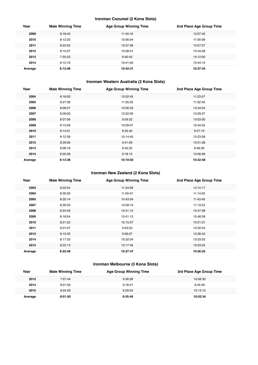#### **Ironman Cozumel (2 Kona Slots)**

| Year    | <b>Male Winning Time</b> | <b>Age Group Winning Time</b> | 2nd Place Age Group Time |
|---------|--------------------------|-------------------------------|--------------------------|
| 2009    | 8:18:40                  | 11:40:16                      | 12:07:40                 |
| 2010    | 8:12:20                  | 10:56:04                      | 11:00:08                 |
| 2011    | 8:23:52                  | 10:37:36                      | 10:57:57                 |
| 2012    | 8:15:07                  | 10:39:31                      | 10:43:28                 |
| 2013    | 7:55:23                  | 9:40:43                       | 10:12:00                 |
| 2014    | 8:12:16                  | 10:41:00                      | 10:44:15                 |
| Average | 8:12:56                  | 10:42:31                      | 10:57:34                 |

#### **Ironman Western Australia (2 Kona Slots)**

| Year    | <b>Male Winning Time</b> | <b>Age Group Winning Time</b> | 2nd Place Age Group Time |
|---------|--------------------------|-------------------------------|--------------------------|
| 2004    | 8:16:00                  | 10:52:45                      | 11:23:07                 |
| 2005    | 8:27:36                  | 11:05:25                      | 11:32:45                 |
| 2006    | 8:08:57                  | 10:26:33                      | 10:44:04                 |
| 2007    | 8:06:00                  | 10:22:05                      | 10:29:27                 |
| 2008    | 8:07:06                  | 9:59:32                       | 10:03:00                 |
| 2009    | 8:13:59                  | 10:29:07                      | 10:44:02                 |
| 2010    | 8:14:01                  | 9:35:40                       | 9:57:19                  |
| 2011    | 8:12:39                  | 10:14:45                      | 10:23:58                 |
| 2012    | 8:29:06                  | 9:41:09                       | 10:51:28                 |
| 2013    | 8:08:16                  | 9:45:22                       | 9:46:36                  |
| 2014    | 8:05:58                  | 9:18:15                       | 10:06:58                 |
| Average | 8:13:36                  | 10:10:03                      | 10:32:58                 |

#### **Ironman New Zealand (2 Kona Slots)**

| Year    | <b>Male Winning Time</b> | <b>Age Group Winning Time</b> | 2nd Place Age Group Time |
|---------|--------------------------|-------------------------------|--------------------------|
| 2003    | 8:22:04                  | 11:54:58                      | 12:15:17                 |
| 2004    | 8:30:29                  | 11:00:47                      | 11:14:05                 |
| 2005    | 8:20:14                  | 10:43:04                      | 11:43:40                 |
| 2007    | 8:26:33                  | 10:59:10                      | 11:13:23                 |
| 2008    | 8:24:49                  | 10:41:12                      | 10:47:38                 |
| 2009    | 8:18:04                  | 10:41:13                      | 10:48:39                 |
| 2010    | 8:21:52                  | 10:15:57                      | 10:21:01                 |
| 2011    | 8:31:07                  | 9:53:23                       | 10:32:54                 |
| 2013    | 8:15:35                  | 9:56:07                       | 10:26:42                 |
| 2014    | 8:17:33                  | 10:32:04                      | 10:33:55                 |
| 2015    | 8:22:13                  | 10:17:45                      | 10:23:23                 |
| Average | 8:22:46                  | 10:37:47                      | 10:56:25                 |

#### **Ironman Melbourne (3 Kona Slots)**

| Year    | <b>Male Winning Time</b> | <b>Age Group Winning Time</b> | 3rd Place Age Group Time |
|---------|--------------------------|-------------------------------|--------------------------|
| 2012    | 7:57:44                  | 9:58:38                       | 10:06:30                 |
| 2014    | 8:01:02                  | 9:18:47                       | 9:45:59                  |
| 2015    | 8:04:29                  | 9:29:53                       | 10:15:15                 |
| Average | 8:01:05                  | 9:35:46                       | 10:02:34                 |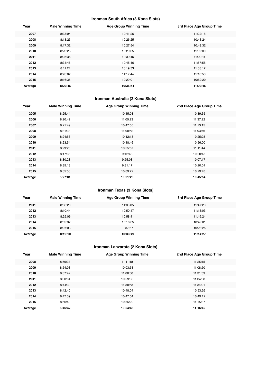#### **Ironman South Africa (3 Kona Slots)**

| Year    | <b>Male Winning Time</b> | <b>Age Group Winning Time</b> | 3rd Place Age Group Time |
|---------|--------------------------|-------------------------------|--------------------------|
| 2007    | 8:33:04                  | 10:41:26                      | 11:22:18                 |
| 2008    | 8:18:23                  | 10:26:25                      | 10:48:24                 |
| 2009    | 8:17:32                  | 10:27:54                      | 10:43:32                 |
| 2010    | 8:23:28                  | 10:29:35                      | 11:09:00                 |
| 2011    | 8:05:36                  | 10:39:46                      | 11:09:11                 |
| 2012    | 8:34:45                  | 10:45:46                      | 11:57:58                 |
| 2013    | 8:11:24                  | 10:19:33                      | 11:08:12                 |
| 2014    | 8:26:07                  | 11:12:44                      | 11:16:53                 |
| 2015    | 8:16:35                  | 10:29:01                      | 10:52:20                 |
| Average | 8:20:46                  | 10:36:54                      | 11:09:45                 |

## **Ironman Australia (2 Kona Slots)**

| Year    | <b>Male Winning Time</b> | <b>Age Group Winning Time</b> | 2nd Place Age Group Time |
|---------|--------------------------|-------------------------------|--------------------------|
| 2005    | 8:25:44                  | 10:15:03                      | 10:39:35                 |
| 2006    | 8:20:42                  | 11:05:23                      | 11:37:22                 |
| 2007    | 8:21:49                  | 10:47:55                      | 11:13:15                 |
| 2008    | 8:31:33                  | 11:00:52                      | 11:03:46                 |
| 2009    | 8:24:53                  | 10:12:18                      | 10:25:28                 |
| 2010    | 8:23:54                  | 10:18:46                      | 10:56:00                 |
| 2011    | 8:29:28                  | 10:55:57                      | 11:11:44                 |
| 2012    | 8:17:38                  | 9:42:43                       | 10:20:45                 |
| 2013    | 8:30:23                  | 9:55:08                       | 10:07:17                 |
| 2014    | 8:35:18                  | 9:31:17                       | 10:20:01                 |
| 2015    | 8:35:53                  | 10:09:22                      | 10:29:43                 |
| Average | 8:27:01                  | 10:21:20                      | 10:45:54                 |

#### **Ironman Texas (3 Kona Slots)**

| Year    | <b>Male Winning Time</b> | <b>Age Group Winning Time</b> | 3rd Place Age Group Time |
|---------|--------------------------|-------------------------------|--------------------------|
| 2011    | 8:08:20                  | 11:06:05                      | 11:47:23                 |
| 2012    | 8:10:44                  | 10:50:17                      | 11:18:03                 |
| 2013    | 8:25:06                  | 10:58:41                      | 11:49:24                 |
| 2014    | 8:09:37                  | 10:16:05                      | 10:49:01                 |
| 2015    | 8:07:03                  | 9:37:57                       | 10:28:25                 |
| Average | 8:12:10                  | 10:33:49                      | 11:14:27                 |

#### **Ironman Lanzarote (2 Kona Slots)**

| Year    | <b>Male Winning Time</b> | <b>Age Group Winning Time</b> | 2nd Place Age Group Time |
|---------|--------------------------|-------------------------------|--------------------------|
| 2008    | 8:59:37                  | 11:11:18                      | 11:25:15                 |
| 2009    | 8:54:03                  | 10:03:58                      | 11:08:50                 |
| 2010    | 8:37:42                  | 11:00:58                      | 11:31:59                 |
| 2011    | 8:30:34                  | 10:59:36                      | 11:34:58                 |
| 2012    | 8:44:39                  | 11:30:53                      | 11:34:21                 |
| 2013    | 8:42:40                  | 10:48:04                      | 10:53:26                 |
| 2014    | 8:47:39                  | 10:47:54                      | 10:49:12                 |
| 2015    | 8:56:49                  | 10:55:22                      | 11:15:37                 |
| Average | 8:46:42                  | 10:54:45                      | 11:16:42                 |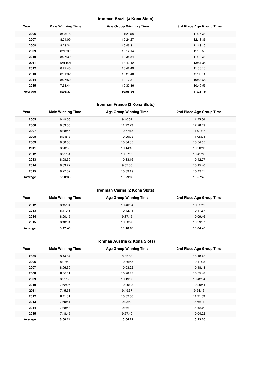#### **Ironman Brazil (3 Kona Slots)**

| Year    | <b>Male Winning Time</b> | <b>Age Group Winning Time</b> | 3rd Place Age Group Time |
|---------|--------------------------|-------------------------------|--------------------------|
| 2006    | 8:15:18                  | 11:23:58                      | 11:26:38                 |
| 2007    | 8:21:09                  | 10:24:27                      | 12:13:36                 |
| 2008    | 8:28:24                  | 10:49:31                      | 11:13:10                 |
| 2009    | 8:13:39                  | 10:14:14                      | 11:06:50                 |
| 2010    | 8:07:39                  | 10:35:54                      | 11:00:33                 |
| 2011    | 12:14:21                 | 13:43:42                      | 13:51:35                 |
| 2012    | 8:22:40                  | 10:42:49                      | 11:03:16                 |
| 2013    | 8:01:32                  | 10:29:40                      | 11:03:11                 |
| 2014    | 8:07:52                  | 10:17:31                      | 10:53:58                 |
| 2015    | 7:53:44                  | 10:37:36                      | 10:49:55                 |
| Average | 8:36:37                  | 10:55:56                      | 11:28:16                 |

## **Ironman France (2 Kona Slots)**

| Year    | <b>Male Winning Time</b> | <b>Age Group Winning Time</b> | 2nd Place Age Group Time |
|---------|--------------------------|-------------------------------|--------------------------|
| 2005    | 8:49:06                  | 9:40:37                       | 11:25:38                 |
| 2006    | 8:33:55                  | 11:22:23                      | 12:28:19                 |
| 2007    | 8:38:45                  | 10:57:15                      | 11:01:37                 |
| 2008    | 8:34:18                  | 10:29:03                      | 11:05:04                 |
| 2009    | 8:30:06                  | 10:34:35                      | 10:54:05                 |
| 2011    | 8:28:30                  | 10:14:15                      | 10:20:13                 |
| 2012    | 8:21:51                  | 10:27:32                      | 10:41:16                 |
| 2013    | 8:08:59                  | 10:33:16                      | 10:42:27                 |
| 2014    | 8:33:22                  | 9:57:35                       | 10:15:40                 |
| 2015    | 8:27:32                  | 10:39:19                      | 10:43:11                 |
| Average | 8:30:38                  | 10:29:35                      | 10:57:45                 |

#### **Ironman Cairns (2 Kona Slots)**

| Year    | <b>Male Winning Time</b> | <b>Age Group Winning Time</b> | 2nd Place Age Group Time |
|---------|--------------------------|-------------------------------|--------------------------|
| 2012    | 8:15:04                  | 10:40:54                      | 10:52:11                 |
| 2013    | 8:17:43                  | 10:42:41                      | 10:47:57                 |
| 2014    | 8:20:15                  | 9:37:15                       | 10:09:46                 |
| 2015    | 8:18:01                  | 10:03:23                      | 10:29:07                 |
| Average | 8:17:45                  | 10:16:03                      | 10:34:45                 |

## **Ironman Austria (2 Kona Slots)**

| Year    | <b>Male Winning Time</b> | <b>Age Group Winning Time</b> | 2nd Place Age Group Time |
|---------|--------------------------|-------------------------------|--------------------------|
| 2005    | 8:14:37                  | 9:39:58                       | 10:18:25                 |
| 2006    | 8:07:59                  | 10:36:55                      | 10:41:25                 |
| 2007    | 8:06:39                  | 10:03:22                      | 10:18:18                 |
| 2008    | 8:06:11                  | 10:28:43                      | 10:55:48                 |
| 2009    | 8:01:38                  | 10:19:50                      | 10:42:04                 |
| 2010    | 7:52:05                  | 10:09:03                      | 10:20:44                 |
| 2011    | 7:45:58                  | 9:49:37                       | 9:54:16                  |
| 2012    | 8:11:31                  | 10:32:50                      | 11:21:59                 |
| 2013    | 7:59:51                  | 9:23:50                       | 9:56:14                  |
| 2014    | 7:48:43                  | 9:46:10                       | 9:49:35                  |
| 2015    | 7:48:45                  | 9:57:40                       | 10:04:22                 |
| Average | 8:00:21                  | 10:04:21                      | 10:23:55                 |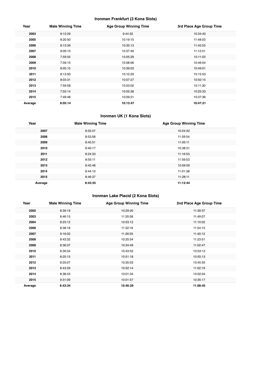#### **Ironman Frankfurt (3 Kona Slots)**

| Year    | <b>Male Winning Time</b> | <b>Age Group Winning Time</b> | 3rd Place Age Group Time |
|---------|--------------------------|-------------------------------|--------------------------|
| 2003    | 8:12:29                  | 9:44:32                       | 10:34:40                 |
| 2005    | 8:20:50                  | 10:19:15                      | 11:48:03                 |
| 2006    | 8:13:39                  | 10:35:13                      | 11:45:53                 |
| 2007    | 8:09:15                  | 10:37:49                      | 11:12:51                 |
| 2008    | 7:59:55                  | 10:05:29                      | 10:11:03                 |
| 2009    | 7:59:15                  | 10:08:06                      | 10:46:04                 |
| 2010    | 8:05:15                  | 10:39:03                      | 10:49:01                 |
| 2011    | 8:13:50                  | 10:10:29                      | 10:15:53                 |
| 2012    | 8:03:31                  | 10:07:27                      | 10:50:14                 |
| 2013    | 7:59:58                  | 10:03:02                      | 10:11:30                 |
| 2014    | 7:55:14                  | 10:05:38                      | 10:25:33                 |
| 2015    | 7:49:48                  | 10:09:21                      | 10:37:36                 |
| Average | 8:05:14                  | 10:13:47                      | 10:47:21                 |

#### **Ironman UK (1 Kona Slots)**

| Year    | <b>Male Winning Time</b> | <b>Age Group Winning Time</b> |
|---------|--------------------------|-------------------------------|
| 2007    | 8:35:57                  | 10:24:32                      |
| 2008    | 8:53:58                  | 11:59:54                      |
| 2009    | 8:45:51                  | 11:05:11                      |
| 2010    | 8:40:17                  | 10:38:31                      |
| 2011    | 8:24:33                  | 11:16:53                      |
| 2012    | 8:55:11                  | 11:59:53                      |
| 2013    | 8:45:48                  | 10:59:59                      |
| 2014    | 8:44:10                  | 11:01:38                      |
| 2015    | 8:46:37                  | 11:28:11                      |
| Average | 8:43:35                  | 11:12:44                      |

#### **Ironman Lake Placid (2 Kona Slots)**

| Year    | <b>Male Winning Time</b> | <b>Age Group Winning Time</b> | 2nd Place Age Group Time |
|---------|--------------------------|-------------------------------|--------------------------|
| 2002    | 8:39:19                  | 10:29:20                      | 11:39:37                 |
| 2003    | 8:46:15                  | 11:35:58                      | 11:49:07                 |
| 2004    | 8:23:12                  | 10:53:12                      | 11:10:02                 |
| 2006    | 8:38:18                  | 11:32:16                      | 11:54:15                 |
| 2007    | 9:16:02                  | 11:26:55                      | 11:40:12                 |
| 2008    | 8:43:32                  | 10:25:54                      | 11:23:51                 |
| 2009    | 8:36:37                  | 10:34:49                      | 11:02:47                 |
| 2010    | 8:39:34                  | 10:43:52                      | 10:53:13                 |
| 2011    | 8:25:15                  | 10:51:18                      | 10:55:13                 |
| 2012    | 8:25:07                  | 10:35:03                      | 10:45:55                 |
| 2013    | 8:43:29                  | 10:52:14                      | 11:02:19                 |
| 2014    | 8:38:43                  | 10:01:34                      | 10:02:04                 |
| 2015    | 9:31:09                  | 10:01:57                      | 10:35:17                 |
| Average | 8:43:34                  | 10:46:29                      | 11:08:45                 |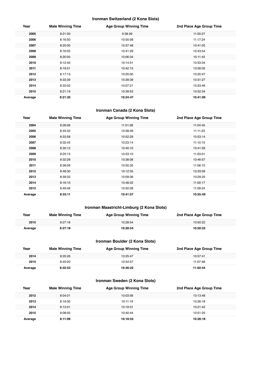#### **Ironman Switzerland (2 Kona Slots)**

| Year    | <b>Male Winning Time</b> | <b>Age Group Winning Time</b> | 2nd Place Age Group Time |
|---------|--------------------------|-------------------------------|--------------------------|
| 2005    | 8:21:50                  | 9:38:39                       | 11:00:27                 |
| 2006    | 8:16:50                  | 10:55:08                      | 11:17:24                 |
| 2007    | 8:25:00                  | 10:37:48                      | 10:41:05                 |
| 2008    | 8:16:05                  | 10:41:29                      | 10:43:54                 |
| 2009    | 8:20:00                  | 10:06:34                      | 10:11:45                 |
| 2010    | 8:12:40                  | 10:14:51                      | 10:33:34                 |
| 2011    | 8:19:51                  | 10:42:15                      | 10:56:02                 |
| 2012    | 8:17:13                  | 10:20:00                      | 10:20:47                 |
| 2013    | 8:33:39                  | 10:28:39                      | 10:31:27                 |
| 2014    | 8:33:02                  | 10:07:21                      | 10:23:46                 |
| 2015    | 8:21:19                  | 10:39:53                      | 10:52:34                 |
| Average | 8:21:35                  | 10:24:47                      | 10:41:09                 |

#### **Ironman Canada (2 Kona Slots)**

| Year    | <b>Male Winning Time</b> | <b>Age Group Winning Time</b> | 2nd Place Age Group Time |
|---------|--------------------------|-------------------------------|--------------------------|
| 2004    | 8:28:06                  | 11:01:08                      | 11:04:45                 |
| 2005    | 8:33:32                  | 10:58:39                      | 11:11:23                 |
| 2006    | 8:33:58                  | 10:52:29                      | 10:53:14                 |
| 2007    | 8:32:45                  | 10:23:14                      | 11:10:15                 |
| 2008    | 8:30:12                  | 10:40:10                      | 10:41:59                 |
| 2009    | 8:25:13                  | 10:53:10                      | 11:03:01                 |
| 2010    | 8:32:28                  | 10:38:08                      | 10:46:57                 |
| 2011    | 8:28:09                  | 10:55:35                      | 11:06:10                 |
| 2012    | 8:48:30                  | 10:12:35                      | 10:33:09                 |
| 2013    | 8:39:33                  | 10:09:36                      | 10:29:25                 |
| 2014    | 8:16:10                  | 10:48:22                      | 11:00:17                 |
| 2015    | 8:49:46                  | 10:50:28                      | 11:09:24                 |
| Average | 8:33:11                  | 10:41:57                      | 10:55:49                 |

### **Ironman Maastricht-Limburg (2 Kona Slots)**

| Year    | <b>Male Winning Time</b> | <b>Age Group Winning Time</b> | 2nd Place Age Group Time |
|---------|--------------------------|-------------------------------|--------------------------|
| 2015    | 8:27:18                  | 10:28:54                      | 10:50:22                 |
| Average | 8:27:18                  | 10:28:54                      | 10:50:22                 |

#### **Ironman Boulder (2 Kona Slots)**

| Year    | <b>Male Winning Time</b> | <b>Age Group Winning Time</b> | 2nd Place Age Group Time |
|---------|--------------------------|-------------------------------|--------------------------|
| 2014    | 8:20:26                  | 10:25:47                      | 10:57:41                 |
| 2015    | 8:45:20                  | 10:34:57                      | 11:07:48                 |
| Average | 8:32:53                  | 10:30:22                      | 11:02:44                 |

#### **Ironman Sweden (2 Kona Slots)**

| Year    | <b>Male Winning Time</b> | <b>Age Group Winning Time</b> | 2nd Place Age Group Time |
|---------|--------------------------|-------------------------------|--------------------------|
| 2012    | 8:04:01                  | 10:03:56                      | 10:13:48                 |
| 2013    | 8:19:30                  | 10:11:19                      | 10:26:18                 |
| 2014    | 8:13:01                  | 10:19:31                      | 10:21:42                 |
| 2015    | 8:08:05                  | 10:40:44                      | 10:51:25                 |
| Average | 8:11:09                  | 10:18:52                      | 10:28:18                 |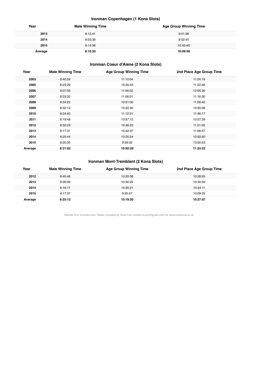#### **Ironman Copenhagen (1 Kona Slots)**

| Year    | <b>Male Winning Time</b> | <b>Age Group Winning Time</b> |
|---------|--------------------------|-------------------------------|
| 2013    | 8:12:41                  | 9:51:36                       |
| 2014    | 8:03:39                  | 9:52:40                       |
| 2015    | 8:14:56                  | 10:45:40                      |
| Average | 8:10:25                  | 10:09:58                      |

## **Ironman Coeur d'Alene (2 Kona Slots)**

| Year    | <b>Male Winning Time</b> | <b>Age Group Winning Time</b> | 2nd Place Age Group Time |
|---------|--------------------------|-------------------------------|--------------------------|
| 2003    | 8:40:59                  | 11:10:04                      | 11:24:19                 |
| 2005    | 8:23:29                  | 10:35:53                      | 11:22:46                 |
| 2006    | 9:07:05                  | 11:56:02                      | 12:05:30                 |
| 2007    | 8:33:32                  | 11:06:01                      | 11:16:30                 |
| 2008    | 8:34:22                  | 10:51:00                      | 11:09:42                 |
| 2009    | 8:32:12                  | 10:22:40                      | 10:50:06                 |
| 2010    | 8:24:40                  | 11:12:31                      | 11:46:17                 |
| 2011    | 8:19:48                  | 10:57:12                      | 10:57:29                 |
| 2012    | 8:32:29                  | 10:46:23                      | 11:01:05                 |
| 2013    | 8:17:31                  | 10:42:37                      | 11:06:57                 |
| 2014    | 8:25:44                  | 10:25:54                      | 10:50:50                 |
| 2015    | 8:20:35                  | 9:59:32                       | 13:00:53                 |
| Average | 8:31:02                  | 10:50:29                      | 11:24:22                 |

#### **Ironman Mont-Tremblant (2 Kona Slots)**

| Year    | <b>Male Winning Time</b> | <b>Age Group Winning Time</b> | 2nd Place Age Group Time |
|---------|--------------------------|-------------------------------|--------------------------|
| 2012    | 8:40:48                  | 10:20:38                      | 10:28:55                 |
| 2013    | 8:26:06                  | 10:30:25                      | 10:35:59                 |
| 2014    | 8:16:17                  | 10:30:21                      | 10:34:11                 |
| 2015    | 8:17:37                  | 9:55:57                       | 10:09:25                 |
| Average | 8:25:12                  | 10:19:20                      | 10:27:07                 |

Results from Ironman.com. Tables compiled by Russ Cox (russell.m.cox@gmail.com) for www.coachcox.co.uk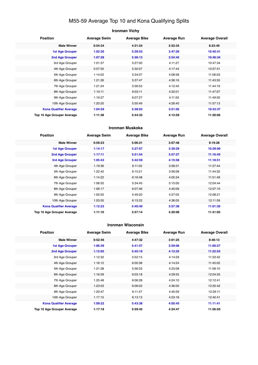## M55-59 Average Top 10 and Kona Qualifying Splits

#### **Ironman Vichy**

| <b>Position</b>               | <b>Average Swim</b> | <b>Average Bike</b> | <b>Average Run</b> | <b>Average Overall</b> |
|-------------------------------|---------------------|---------------------|--------------------|------------------------|
| <b>Male Winner</b>            | 0:54:34             | 4:31:24             | 2:52:34            | 8:23:49                |
| <b>1st Age Grouper</b>        | 1:02:30             | 5:39:53             | 3:47:26            | 10:40:41               |
| 2nd Age Grouper               | 1:07:28             | 5:36:13             | 3:54:45            | 10:46:34               |
| 3rd Age Grouper               | 1:01:37             | 5:27:00             | 4:11:27            | 10:47:34               |
| 4th Age Grouper               | 0:57:55             | 5:32:07             | 4:17:44            | 10:57:51               |
| 5th Age Grouper               | 1:14:02             | 5:34:07             | 4:08:58            | 11:06:03               |
| 6th Age Grouper               | 1:21:26             | 5:37:47             | 4:36:16            | 11:43:55               |
| 7th Age Grouper               | 1:21:24             | 5:56:53             | 4:12:45            | 11:44:19               |
| 8th Age Grouper               | 1:10:11             | 6:03:11             | 4:22:01            | 11:47:07               |
| 9th Age Grouper               | 1:19:27             | 6:07:27             | 4:11:55            | 11:49:50               |
| 10th Age Grouper              | 1:20:20             | 5:50:49             | 4:26:40            | 11:57:13               |
| <b>Kona Qualifier Average</b> | 1:04:59             | 5:38:03             | 3:51:05            | 10:43:37               |
| Top 10 Age Grouper Average    | 1:11:38             | 5:44:32             | 4:12:59            | 11:20:06               |

#### **Ironman Muskoka**

| <b>Position</b>               | <b>Average Swim</b> | <b>Average Bike</b> | <b>Average Run</b> | <b>Average Overall</b> |
|-------------------------------|---------------------|---------------------|--------------------|------------------------|
| <b>Male Winner</b>            | 0:59:23             | 5:06:21             | 3:07:48            | 9:19:28                |
| <b>1st Age Grouper</b>        | 1:14:17             | 5:27:07             | 3:39:29            | 10:29:00               |
| 2nd Age Grouper               | 1:17:11             | 5:51:54             | 3:57:27            | 11:16:40               |
| 3rd Age Grouper               | 1:05:43             | 5:42:59             | 4:15:58            | 11:18:51               |
| 4th Age Grouper               | 1:19:36             | 6:11:02             | 3:58:31            | 11:37:44               |
| 5th Age Grouper               | 1:22:42             | 6:15:21             | 3:56:08            | 11:44:32               |
| 6th Age Grouper               | 1:14:22             | 6:16:48             | 4:05:34            | 11:51:49               |
| 7th Age Grouper               | 1:06:52             | 5:34:45             | 5:15:00            | 12:04:44               |
| 8th Age Grouper               | 1:06:17             | 6:07:46             | 4:40:09            | 12:07:10               |
| 9th Age Grouper               | 1:00:52             | 5:49:20             | 4:57:05            | 12:08:21               |
| 10th Age Grouper              | 1:03:55             | 6:15:22             | 4:36:05            | 12:11:59               |
| <b>Kona Qualifier Average</b> | 1:12:23             | 5:40:40             | 3:57:38            | 11:01:30               |
| Top 10 Age Grouper Average    | 1:11:10             | 5:57:14             | 4:20:08            | 11:41:05               |

#### **Ironman Wisconsin**

| <b>Position</b>               | <b>Average Swim</b> | <b>Average Bike</b> | <b>Average Run</b> | <b>Average Overall</b> |
|-------------------------------|---------------------|---------------------|--------------------|------------------------|
| <b>Male Winner</b>            | 0:52:46             | 4:47:32             | 3:01:25            | 8:48:13                |
| <b>1st Age Grouper</b>        | 1:06:39             | 5:41:57             | 3:59:06            | 11:00:27               |
| 2nd Age Grouper               | 1:12:05             | 5:45:19             | 4:12:25            | 11:22:55               |
| 3rd Age Grouper               | 1:12:32             | 5:52:15             | 4:14:29            | 11:33:42               |
| 4th Age Grouper               | 1:16:12             | 6:00:38             | 4:14:24            | 11:45:02               |
| 5th Age Grouper               | 1:21:38             | 5:56:33             | 4:23:08            | 11:58:10               |
| 6th Age Grouper               | 1:16:59             | 6:03:18             | 4:29:55            | 12:04:55               |
| 7th Age Grouper               | 1:25:48             | 6:06:28             | 4:24:10            | 12:12:41               |
| 8th Age Grouper               | 1:23:03             | 6:06:02             | 4:36:00            | 12:20:42               |
| 9th Age Grouper               | 1:20:47             | 6:11:47             | 4:40:59            | 12:29:11               |
| 10th Age Grouper              | 1:17:15             | 6:13:13             | 4:53:18            | 12:40:41               |
| <b>Kona Qualifier Average</b> | 1:09:22             | 5:43:38             | 4:05:45            | 11:11:41               |
| Top 10 Age Grouper Average    | 1:17:18             | 5:59:45             | 4:24:47            | 11:56:50               |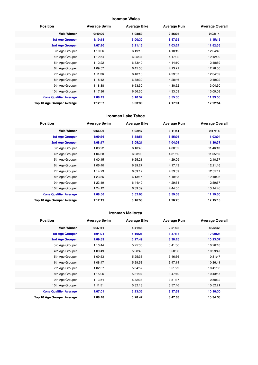#### **Ironman Wales**

| <b>Position</b>               | <b>Average Swim</b> | <b>Average Bike</b> | <b>Average Run</b> | <b>Average Overall</b> |
|-------------------------------|---------------------|---------------------|--------------------|------------------------|
| <b>Male Winner</b>            | 0:49:20             | 5:08:59             | 2:56:04            | 9:02:14                |
| <b>1st Age Grouper</b>        | 1:10:18             | 6:00:30             | 3:47:35            | 11:15:15               |
| 2nd Age Grouper               | 1:07:20             | 6:21:15             | 4:03:24            | 11:52:36               |
| 3rd Age Grouper               | 1:10:36             | 6:19:18             | 4:18:19            | 12:04:46               |
| 4th Age Grouper               | 1:12:54             | 6:25:37             | 4:17:02            | 12:12:00               |
| 5th Age Grouper               | 1:12:22             | 6:33:40             | 4:14:10            | 12:18:59               |
| 6th Age Grouper               | 1:09:57             | 6:45:58             | 4:13:21            | 12:28:00               |
| 7th Age Grouper               | 1:11:36             | 6:40:13             | 4:23:37            | 12:34:09               |
| 8th Age Grouper               | 1:18:12             | 6:38:30             | 4:28:46            | 12:49:22               |
| 9th Age Grouper               | 1:18:38             | 6:53:30             | 4:30:52            | 13:04:50               |
| 10th Age Grouper              | 1:17:36             | 6:56:30             | 4:33:03            | 13:09:08               |
| <b>Kona Qualifier Average</b> | 1:08:49             | 6:10:52             | 3:55:30            | 11:33:56               |
| Top 10 Age Grouper Average    | 1:12:57             | 6:33:30             | 4:17:01            | 12:22:54               |

#### **Ironman Lake Tahoe**

| <b>Position</b>               | <b>Average Swim</b> | <b>Average Bike</b> | <b>Average Run</b> | <b>Average Overall</b> |
|-------------------------------|---------------------|---------------------|--------------------|------------------------|
| <b>Male Winner</b>            | 0:56:06             | 5:02:47             | 3:11:51            | 9:17:18                |
| <b>1st Age Grouper</b>        | 1:09:36             | 5:38:51             | 3:55:05            | 11:03:04               |
| 2nd Age Grouper               | 1:08:17             | 6:05:21             | 4:04:01            | 11:36:37               |
| 3rd Age Grouper               | 1:08:22             | 6:10:46             | 4:08:32            | 11:46:13               |
| 4th Age Grouper               | 1:04:38             | 6:03:00             | 4:31:50            | 11:55:55               |
| 5th Age Grouper               | 1:00:15             | 6:25:21             | 4:29:09            | 12:10:37               |
| 6th Age Grouper               | 1:06:40             | 6:39:27             | 4:17:43            | 12:21:16               |
| 7th Age Grouper               | 1:14:23             | 6:09:12             | 4:53:39            | 12:35:11               |
| 8th Age Grouper               | 1:23:35             | 6:13:15             | 4:49:33            | 12:49:28               |
| 9th Age Grouper               | 1:23:19             | 6:44:49             | 4:29:54            | 12:59:57               |
| 10th Age Grouper              | 1:24:12             | 6:39:39             | 4:44:55            | 13:14:46               |
| <b>Kona Qualifier Average</b> | 1:08:56             | 5:52:06             | 3:59:33            | 11:19:50               |
| Top 10 Age Grouper Average    | 1:12:19             | 6:16:58             | 4:26:26            | 12:15:18               |

#### **Ironman Mallorca**

| <b>Position</b>               | <b>Average Swim</b> | <b>Average Bike</b> | <b>Average Run</b> | <b>Average Overall</b> |
|-------------------------------|---------------------|---------------------|--------------------|------------------------|
| <b>Male Winner</b>            | 0:47:41             | 4:41:48             | 2:51:33            | 8:25:42                |
| <b>1st Age Grouper</b>        | 1:04:24             | 5:19:21             | 3:37:18            | 10:09:24               |
| 2nd Age Grouper               | 1:09:39             | 5:27:49             | 3:38:26            | 10:23:37               |
| 3rd Age Grouper               | 1:10:44             | 5:25:30             | 3:41:56            | 10:26:18               |
| 4th Age Grouper               | 1:00:49             | 5:28:48             | 3:50:30            | 10:29:47               |
| 5th Age Grouper               | 1:09:53             | 5:25:33             | 3:46:36            | 10:31:47               |
| 6th Age Grouper               | 1:08:47             | 5:29:53             | 3:47:14            | 10:36:41               |
| 7th Age Grouper               | 1:02:57             | 5:34:57             | 3:51:29            | 10:41:08               |
| 8th Age Grouper               | 1:15:06             | 5:31:07             | 3:47:40            | 10:43:57               |
| 9th Age Grouper               | 1:13:54             | 5:32:38             | 3:51:37            | 10:50:32               |
| 10th Age Grouper              | 1:11:51             | 5:32:18             | 3:57:46            | 10:52:21               |
| <b>Kona Qualifier Average</b> | 1:07:01             | 5:23:35             | 3:37:52            | 10:16:30               |
| Top 10 Age Grouper Average    | 1:08:48             | 5:28:47             | 3:47:03            | 10:34:33               |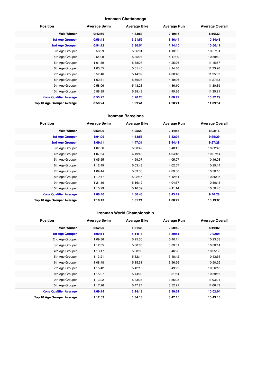#### **Ironman Chattanooga**

| <b>Position</b>               | <b>Average Swim</b> | <b>Average Bike</b> | <b>Average Run</b> | <b>Average Overall</b> |
|-------------------------------|---------------------|---------------------|--------------------|------------------------|
| <b>Male Winner</b>            | 0:42:50             | 4:33:53             | 2:49:16            | 8:10:32                |
| <b>1st Age Grouper</b>        | 0:56:43             | 5:21:59             | 3:46:44            | 10:14:48               |
| 2nd Age Grouper               | 0:54:12             | 5:30:54             | 4:14:10            | 10:50:11               |
| 3rd Age Grouper               | 0:56:29             | 5:36:01             | 4:13:02            | 10:57:01               |
| 4th Age Grouper               | 0:54:08             | 5:35:24             | 4:17:39            | 10:59:12               |
| 5th Age Grouper               | 1:01:39             | 5:38:27             | 4:25:26            | 11:15:57               |
| 6th Age Grouper               | 1:03:55             | 5:51:45             | 4:14:48            | 11:23:20               |
| 7th Age Grouper               | 0:57:46             | 5:44:09             | 4:30:48            | 11:25:02               |
| 8th Age Grouper               | 1:02:31             | 5:56:07             | 4:19:06            | 11:27:33               |
| 9th Age Grouper               | 0:58:06             | 5:43:28             | 4:36:10            | 11:30:39               |
| 10th Age Grouper              | 0:58:35             | 5:38:43             | 4:45:36            | 11:35:21               |
| <b>Kona Qualifier Average</b> | 0:55:27             | 5:26:26             | 4:00:27            | 10:32:29               |
| Top 10 Age Grouper Average    | 0:58:24             | 5:39:41             | 4:20:21            | 11:09:54               |

#### **Ironman Barcelona**

| <b>Position</b>               | <b>Average Swim</b> | <b>Average Bike</b> | <b>Average Run</b> | <b>Average Overall</b> |
|-------------------------------|---------------------|---------------------|--------------------|------------------------|
| <b>Male Winner</b>            | 0:50:00             | 4:25:29             | 2:44:56            | 8:03:16                |
| <b>1st Age Grouper</b>        | 1:04:09             | 4:53:55             | 3:32:04            | 9:35:29                |
| 2nd Age Grouper               | 1:09:11             | 4:47:31             | 3:54:41            | 9:57:26                |
| 3rd Age Grouper               | 1:07:56             | 5:00:49             | 3:48:15            | 10:02:48               |
| 4th Age Grouper               | 1:07:54             | 4:49:48             | 4:04:13            | 10:07:14               |
| 5th Age Grouper               | 1:05:55             | 4:59:07             | 4:05:07            | 10:16:08               |
| 6th Age Grouper               | 1:12:49             | 5:03:43             | 4:02:07            | 10:25:14               |
| 7th Age Grouper               | 1:09:44             | 5:03:30             | 4:09:08            | 10:30:10               |
| 8th Age Grouper               | 1:12:47             | 5:02:15             | 4:12:44            | 10:35:36               |
| 9th Age Grouper               | 1:21:16             | 5:16:12             | 4:04:57            | 10:50:15               |
| 10th Age Grouper              | 1:15:29             | 5:16:39             | 4:11:14            | 10:50:45               |
| <b>Kona Qualifier Average</b> | 1:06:40             | 4:50:43             | 3:43:22            | 9:46:28                |
| Top 10 Age Grouper Average    | 1:10:43             | 5:01:21             | 4:00:27            | 10:19:06               |

## **Ironman World Championship**

| <b>Position</b>               | <b>Average Swim</b> | <b>Average Bike</b> | <b>Average Run</b> | <b>Average Overall</b> |
|-------------------------------|---------------------|---------------------|--------------------|------------------------|
| <b>Male Winner</b>            | 0:52:20             | 4:31:38             | 2:50:49            | 8:19:02                |
| <b>1st Age Grouper</b>        | 1:09:14             | 5:14:18             | 3:30:51            | 10:02:04               |
| 2nd Age Grouper               | 1:09:36             | 5:25:30             | 3:40:11            | 10:23:53               |
| 3rd Age Grouper               | 1:12:35             | 5:30:05             | 3:39:51            | 10:30:14               |
| 4th Age Grouper               | 1:13:17             | 5:28:00             | 3:46:26            | 10:35:36               |
| 5th Age Grouper               | 1:13:21             | 5:32:14             | 3:48:42            | 10:43:56               |
| 6th Age Grouper               | 1:08:48             | 5:35:31             | 3:56:56            | 10:50:26               |
| 7th Age Grouper               | 1:15:42             | 5:42:16             | 3:49:22            | 10:56:18               |
| 8th Age Grouper               | 1:15:27             | 5:44:02             | 3:51:54            | 10:59:56               |
| 9th Age Grouper               | 1:13:22             | 5:43:37             | 3:56:08            | 11:03:01               |
| 10th Age Grouper              | 1:17:26             | 5:47:24             | 3:52:21            | 11:06:43               |
| <b>Kona Qualifier Average</b> | 1:09:14             | 5:14:18             | 3:30:51            | 10:02:04               |
| Top 10 Age Grouper Average    | 1:12:53             | 5:34:18             | 3:47:16            | 10:43:13               |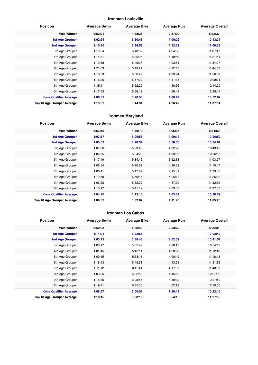#### **Ironman Louisville**

| <b>Position</b>               | <b>Average Swim</b> | <b>Average Bike</b> | <b>Average Run</b> | <b>Average Overall</b> |
|-------------------------------|---------------------|---------------------|--------------------|------------------------|
| <b>Male Winner</b>            | 0:52:21             | 4:38:36             | 2:57:00            | 8:32:37                |
| <b>1st Age Grouper</b>        | 1:02:54             | 5:30:48             | 4:00:22            | 10:43:37               |
| 2nd Age Grouper               | 1:10:10             | 5:26:52             | 4:12:32            | 11:00:28               |
| 3rd Age Grouper               | 1:10:24             | 5:40:37             | 4:04:38            | 11:07:47               |
| 4th Age Grouper               | 1:14:51             | 5:35:25             | 4:19:59            | 11:21:51               |
| 5th Age Grouper               | 1:12:58             | 5:45:07             | 4:23:54            | 11:34:07               |
| 6th Age Grouper               | 1:21:03             | 5:49:27             | 4:22:47            | 11:44:53               |
| 7th Age Grouper               | 1:16:53             | 5:50:49             | 4:33:24            | 11:56:38               |
| 8th Age Grouper               | 1:16:26             | 5:57:22             | 4:41:38            | 12:09:31               |
| 9th Age Grouper               | 1:15:11             | 5:52:22             | 4:50:56            | 12:14:29               |
| 10th Age Grouper              | 1:17:53             | 5:56:19             | 4:56:48            | 12:25:14               |
| <b>Kona Qualifier Average</b> | 1:06:32             | 5:28:50             | 4:06:27            | 10:52:02               |
| Top 10 Age Grouper Average    | 1:13:52             | 5:44:31             | 4:26:42            | 11:37:51               |

#### **Ironman Maryland**

| <b>Position</b>               | <b>Average Swim</b> | <b>Average Bike</b> | <b>Average Run</b> | <b>Average Overall</b> |
|-------------------------------|---------------------|---------------------|--------------------|------------------------|
| <b>Male Winner</b>            | 0:53:10             | 4:40:10             | 3:05:37            | 8:44:50                |
| <b>1st Age Grouper</b>        | 1:03:17             | 5:05:58             | 4:09:12            | 10:26:52               |
| 2nd Age Grouper               | 1:05:02             | 5:20:32             | 3:58:36            | 10:34:07               |
| 3rd Age Grouper               | 1:07:06             | 5:23:45             | 4:02:20            | 10:43:42               |
| 4th Age Grouper               | 1:06:55             | 5:24:20             | 4:09:30            | 10:56:55               |
| 5th Age Grouper               | 1:17:49             | 5:34:46             | 3:52:38            | 11:03:27               |
| 6th Age Grouper               | 1:08:54             | 5:20:52             | 4:29:52            | 11:10:47               |
| 7th Age Grouper               | 1:06:41             | 5:47:07             | 4:15:31            | 11:23:05               |
| 8th Age Grouper               | 1:12:50             | 5:50:16             | 4:06:11            | 11:25:32               |
| 9th Age Grouper               | 1:06:28             | 5:52:22             | 4:17:20            | 11:32:39               |
| 10th Age Grouper              | 1:10:17             | 5:41:12             | 4:33:07            | 11:37:07               |
| <b>Kona Qualifier Average</b> | 1:04:10             | 5:13:15             | 4:03:54            | 10:30:29               |
| Top 10 Age Grouper Average    | 1:08:32             | 5:32:07             | 4:11:25            | 11:05:25               |

#### **Ironman Los Cabos**

| <b>Position</b>               | <b>Average Swim</b> | <b>Average Bike</b> | <b>Average Run</b> | <b>Average Overall</b> |
|-------------------------------|---------------------|---------------------|--------------------|------------------------|
| <b>Male Winner</b>            | 0:50:33             | 4:38:43             | 2:53:22            | 8:26:31                |
| <b>1st Age Grouper</b>        | 1:14:01             | 6:22:56             |                    | 10:02:42               |
| 2nd Age Grouper               | 1:03:13             | 5:38:46             | 3:52:39            | 10:41:51               |
| 3rd Age Grouper               | 1:03:17             | 5:35:42             | 4:08:17            | 10:54:12               |
| 4th Age Grouper               | 1:01:45             | 5:43:11             | 4:20:20            | 11:12:40               |
| 5th Age Grouper               | 1:09:15             | 5:58:11             | 4:00:49            | 11:18:43               |
| 6th Age Grouper               | 1:18:13             | 5:48:58             | 4:13:59            | 11:31:35               |
| 7th Age Grouper               | 1:11:12             | 6:11:41             | 4:17:57            | 11:48:59               |
| 8th Age Grouper               | 1:03:25             | 6:02:53             | 4:45:52            | 12:01:09               |
| 9th Age Grouper               | 1:18:46             | 6:05:56             | 4:50:32            | 12:27:52               |
| 10th Age Grouper              | 1:19:41             | 6:35:00             | 4:32:18            | 12:39:05               |
| <b>Kona Qualifier Average</b> | 1:08:37             | 6:00:51             | 1:56:19            | 10:22:16               |
| Top 10 Age Grouper Average    | 1:10:16             | 6:00:19             | 3:54:16            | 11:27:53               |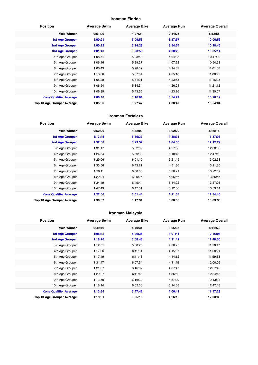#### **Ironman Florida**

| <b>Position</b>               | <b>Average Swim</b> | <b>Average Bike</b> | <b>Average Run</b> | <b>Average Overall</b> |
|-------------------------------|---------------------|---------------------|--------------------|------------------------|
| <b>Male Winner</b>            | 0:51:09             | 4:27:24             | 2:54:25            | 8:12:58                |
| <b>1st Age Grouper</b>        | 1:00:21             | 5:09:53             | 3:47:57            | 10:06:56               |
| 2nd Age Grouper               | 1:00:22             | 5:14:28             | 3:54:54            | 10:18:46               |
| 3rd Age Grouper               | 1:01:40             | 5:23:50             | 4:00:20            | 10:35:14               |
| 4th Age Grouper               | 1:08:51             | 5:23:42             | 4:04:08            | 10:47:09               |
| 5th Age Grouper               | 1:06:16             | 5:29:27             | 4:07:22            | 10:54:53               |
| 6th Age Grouper               | 1:06:43             | 5:28:39             | 4:14:07            | 11:01:38               |
| 7th Age Grouper               | 1:13:06             | 5:37:54             | 4:05:18            | 11:08:25               |
| 8th Age Grouper               | 1:08:28             | 5:31:31             | 4:23:55            | 11:16:23               |
| 9th Age Grouper               | 1:06:54             | 5:34:34             | 4:26:24            | 11:21:12               |
| 10th Age Grouper              | 1:06:39             | 5:43:55             | 4:23:26            | 11:30:07               |
| <b>Kona Qualifier Average</b> | 1:00:48             | 5:16:04             | 3:54:24            | 10:20:19               |
| Top 10 Age Grouper Average    | 1:05:56             | 5:27:47             | 4:08:47            | 10:54:04               |

#### **Ironman Fortaleza**

| <b>Position</b>               | <b>Average Swim</b> | <b>Average Bike</b> | <b>Average Run</b> | <b>Average Overall</b> |
|-------------------------------|---------------------|---------------------|--------------------|------------------------|
| <b>Male Winner</b>            | 0:52:20             | 4:32:09             | 3:02:22            | 8:30:15                |
| <b>1st Age Grouper</b>        | 1:13:45             | 5:39:37             | 4:38:31            | 11:37:03               |
| 2nd Age Grouper               | 1:32:08             | 6:23:52             | 4:04:35            | 12:12:29               |
| 3rd Age Grouper               | 1:31:17             | 5:52:32             | 4:57:56            | 12:38:36               |
| 4th Age Grouper               | 1:24:54             | 5:59:38             | 5:10:46            | 12:47:12               |
| 5th Age Grouper               | 1:29:06             | 6:01:10             | 5:21:49            | 13:02:58               |
| 6th Age Grouper               | 1:33:56             | 6:43:21             | 4:51:36            | 13:21:30               |
| 7th Age Grouper               | 1:29:11             | 6:08:03             | 5:30:21            | 13:22:59               |
| 8th Age Grouper               | 1:29:24             | 6:29:26             | 5:06:56            | 13:36:46               |
| 9th Age Grouper               | 1:34:49             | 6:49:44             | 5:14:22            | 13:57:03               |
| 10th Age Grouper              | 1:47:49             | 6:47:51             | 5:12:06            | 13:59:14               |
| <b>Kona Qualifier Average</b> | 1:22:56             | 6:01:44             | 4:21:33            | 11:54:46               |
| Top 10 Age Grouper Average    | 1:30:37             | 6:17:31             | 5:00:53            | 13:03:35               |

#### **Ironman Malaysia**

| <b>Position</b>               | <b>Average Swim</b> | <b>Average Bike</b> | <b>Average Run</b> | <b>Average Overall</b> |
|-------------------------------|---------------------|---------------------|--------------------|------------------------|
| <b>Male Winner</b>            | 0:49:49             | 4:40:31             | 3:05:37            | 8:41:53                |
| 1st Age Grouper               | 1:08:42             | 5:26:36             | 4:01:41            | 10:46:08               |
| 2nd Age Grouper               | 1:18:26             | 6:08:48             | 4:11:42            | 11:48:50               |
| 3rd Age Grouper               | 1:12:51             | 5:58:25             | 4:30:25            | 11:50:47               |
| 4th Age Grouper               | 1:17:36             | 6:11:51             | 4:15:57            | 11:58:21               |
| 5th Age Grouper               | 1:17:49             | 6:11:43             | 4:14:12            | 11:59:33               |
| 6th Age Grouper               | 1:31:47             | 6:07:54             | 4:11:45            | 12:00:05               |
| 7th Age Grouper               | 1:21:37             | 6:16:37             | 4:07:47            | 12:07:42               |
| 8th Age Grouper               | 1:29:27             | 6:11:43             | 4:36:52            | 12:34:18               |
| 9th Age Grouper               | 1:13:50             | 6:16:39             | 4:57:29            | 12:43:33               |
| 10th Age Grouper              | 1:18:14             | 6:02:56             | 5:14:58            | 12:47:18               |
| <b>Kona Qualifier Average</b> | 1:13:34             | 5:47:42             | 4:06:41            | 11:17:29               |
| Top 10 Age Grouper Average    | 1:19:01             | 6:05:19             | 4:26:16            | 12:03:39               |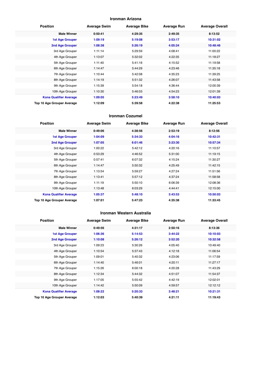#### **Ironman Arizona**

| <b>Position</b>               | <b>Average Swim</b> | <b>Average Bike</b> | <b>Average Run</b> | <b>Average Overall</b> |
|-------------------------------|---------------------|---------------------|--------------------|------------------------|
| <b>Male Winner</b>            | 0:50:41             | 4:29:35             | 2:49:35            | 8:13:52                |
| <b>1st Age Grouper</b>        | 1:09:19             | 5:19:08             | 3:53:17            | 10:31:02               |
| 2nd Age Grouper               | 1:08:38             | 5:26:19             | 4:05:24            | 10:48:46               |
| 3rd Age Grouper               | 1:11:14             | 5:29:59             | 4:08:41            | 11:00:22               |
| 4th Age Grouper               | 1:13:07             | 5:32:02             | 4:22:35            | 11:18:27               |
| 5th Age Grouper               | 1:11:40             | 5:41:16             | 4:15:52            | 11:19:58               |
| 6th Age Grouper               | 1:14:47             | 5:44:29             | 4:23:46            | 11:35:18               |
| 7th Age Grouper               | 1:10:44             | 5:42:08             | 4:35:23            | 11:39:25               |
| 8th Age Grouper               | 1:14:19             | 5:51:32             | 4:26:07            | 11:43:58               |
| 9th Age Grouper               | 1:15:39             | 5:54:18             | 4:36:44            | 12:00:39               |
| 10th Age Grouper              | 1:10:30             | 5:46:03             | 4:54:23            | 12:01:39               |
| <b>Kona Qualifier Average</b> | 1:09:05             | 5:23:49             | 3:58:10            | 10:40:03               |
| Top 10 Age Grouper Average    | 1:12:09             | 5:39:58             | 4:22:38            | 11:25:53               |

#### **Ironman Cozumel**

| <b>Position</b>               | <b>Average Swim</b> | <b>Average Bike</b> | <b>Average Run</b> | <b>Average Overall</b> |
|-------------------------------|---------------------|---------------------|--------------------|------------------------|
| <b>Male Winner</b>            | 0:49:06             | 4:38:56             | 2:53:19            | 8:12:56                |
| <b>1st Age Grouper</b>        | 1:04:09             | 5:34:33             | 4:04:16            | 10:42:31               |
| 2nd Age Grouper               | 1:07:05             | 6:01:46             | 3:23:30            | 10:57:34               |
| 3rd Age Grouper               | 1:00:22             | 5:42:12             | 4:20:16            | 11:10:57               |
| 4th Age Grouper               | 0:53:29             | 4:46:52             | 5:31:00            | 11:19:15               |
| 5th Age Grouper               | 0:57:41             | 6:07:32             | 4:15:24            | 11:30:27               |
| 6th Age Grouper               | 1:14:47             | 5:50:32             | 4:25:49            | 11:42:15               |
| 7th Age Grouper               | 1:13:54             | 5:59:27             | 4:27:24            | 11:51:56               |
| 8th Age Grouper               | 1:13:41             | 5:57:12             | 4:37:24            | 11:58:58               |
| 9th Age Grouper               | 1:11:19             | 5:50:10             | 6:06:39            | 12:08:36               |
| 10th Age Grouper              | 1:13:48             | 6:03:29             | 4:44:41            | 12:15:00               |
| <b>Kona Qualifier Average</b> | 1:05:37             | 5:48:10             | 3:43:53            | 10:50:03               |
| Top 10 Age Grouper Average    | 1:07:01             | 5:47:23             | 4:35:38            | 11:33:45               |

#### **Ironman Western Australia**

| <b>Position</b>               | <b>Average Swim</b> | <b>Average Bike</b> | <b>Average Run</b> | <b>Average Overall</b> |
|-------------------------------|---------------------|---------------------|--------------------|------------------------|
| <b>Male Winner</b>            | 0:49:56             | 4:31:17             | 2:50:16            | 8:13:36                |
| <b>1st Age Grouper</b>        | 1:06:36             | 5:14:53             | 3:44:22            | 10:10:03               |
| 2nd Age Grouper               | 1:10:08             | 5:26:12             | 3:52:20            | 10:32:58               |
| 3rd Age Grouper               | 1:09:23             | 5:30:26             | 4:05:40            | 10:49:40               |
| 4th Age Grouper               | 1:10:54             | 5:37:43             | 4:12:18            | 11:06:54               |
| 5th Age Grouper               | 1:09:01             | 5:40:32             | 4:23:06            | 11:17:59               |
| 6th Age Grouper               | 1:14:40             | 5:46:01             | 4:20:11            | 11:27:17               |
| 7th Age Grouper               | 1:15:26             | 6:00:18             | 4:20:28            | 11:43:29               |
| 8th Age Grouper               | 1:12:34             | 5:44:32             | 4:51:07            | 11:54:37               |
| 9th Age Grouper               | 1:17:05             | 5:55:42             | 4:42:19            | 12:02:01               |
| 10th Age Grouper              | 1:14:42             | 5:50:09             | 4:59:57            | 12:12:12               |
| <b>Kona Qualifier Average</b> | 1:08:22             | 5:20:33             | 3:48:21            | 10:21:31               |
| Top 10 Age Grouper Average    | 1:12:03             | 5:40:39             | 4:21:11            | 11:19:43               |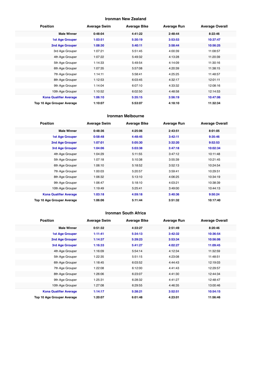#### **Ironman New Zealand**

| <b>Position</b>               | <b>Average Swim</b> | <b>Average Bike</b> | <b>Average Run</b> | <b>Average Overall</b> |
|-------------------------------|---------------------|---------------------|--------------------|------------------------|
| <b>Male Winner</b>            | 0:48:04             | 4:41:22             | 2:48:44            | 8:22:46                |
| <b>1st Age Grouper</b>        | 1:03:51             | 5:30:19             | 3:53:53            | 10:37:47               |
| 2nd Age Grouper               | 1:08:30             | 5:40:11             | 3:58:44            | 10:56:25               |
| 3rd Age Grouper               | 1:07:21             | 5:51:45             | 4:00:39            | 11:08:57               |
| 4th Age Grouper               | 1:07:22             | 5:49:32             | 4:13:28            | 11:20:39               |
| 5th Age Grouper               | 1:14:33             | 5:49:54             | 4:14:09            | 11:30:16               |
| 6th Age Grouper               | 1:07:35             | 5:57:08             | 4:20:39            | 11:38:15               |
| 7th Age Grouper               | 1:14:11             | 5:58:41             | 4:25:25            | 11:48:57               |
| 8th Age Grouper               | 1:12:53             | 6:03:45             | 4:32:17            | 12:01:11               |
| 9th Age Grouper               | 1:14:04             | 6:07:10             | 4:33:32            | 12:08:16               |
| 10th Age Grouper              | 1:10:52             | 6:02:50             | 4:48:58            | 12:14:53               |
| <b>Kona Qualifier Average</b> | 1:06:10             | 5:35:15             | 3:56:19            | 10:47:06               |
| Top 10 Age Grouper Average    | 1:10:07             | 5:53:07             | 4:18:10            | 11:32:34               |

#### **Ironman Melbourne**

| <b>Position</b>               | <b>Average Swim</b> | <b>Average Bike</b> | <b>Average Run</b> | <b>Average Overall</b> |
|-------------------------------|---------------------|---------------------|--------------------|------------------------|
| <b>Male Winner</b>            | 0:48:36             | 4:25:06             | 2:43:51            | 8:01:05                |
| <b>1st Age Grouper</b>        | 0:58:48             | 4:48:45             | 3:42:11            | 9:35:46                |
| 2nd Age Grouper               | 1:07:01             | 5:05:30             | 3:32:20            | 9:52:53                |
| <b>3rd Age Grouper</b>        | 1:04:06             | 5:03:38             | 3:47:18            | 10:02:34               |
| 4th Age Grouper               | 1:04:29             | 5:11:55             | 3:47:12            | 10:11:48               |
| 5th Age Grouper               | 1:07:18             | 5:10:38             | 3:55:39            | 10:21:45               |
| 6th Age Grouper               | 1:06:10             | 5:18:52             | 3:52:13            | 10:24:54               |
| 7th Age Grouper               | 1:00:03             | 5:20:57             | 3:59:41            | 10:29:51               |
| 8th Age Grouper               | 1:06:32             | 5:13:10             | 4:06:25            | 10:34:19               |
| 9th Age Grouper               | 1:06:47             | 5:18:10             | 4:03:21            | 10:38:39               |
| 10th Age Grouper              | 1:19:49             | 5:25:41             | 3:49:00            | 10:44:13               |
| <b>Kona Qualifier Average</b> | 1:03:18             | 4:59:18             | 3:40:36            | 9:50:24                |
| Top 10 Age Grouper Average    | 1:06:06             | 5:11:44             | 3:51:32            | 10:17:40               |

#### **Ironman South Africa**

| <b>Position</b>               | <b>Average Swim</b> | <b>Average Bike</b> | <b>Average Run</b> | <b>Average Overall</b> |
|-------------------------------|---------------------|---------------------|--------------------|------------------------|
| <b>Male Winner</b>            | 0:51:32             | 4:33:27             | 2:51:49            | 8:20:46                |
| <b>1st Age Grouper</b>        | 1:11:41             | 5:34:13             | 3:42:32            | 10:36:54               |
| 2nd Age Grouper               | 1:14:37             | 5:39:23             | 3:53:34            | 10:56:06               |
| 3rd Age Grouper               | 1:16:33             | 5:41:27             | 4:02:27            | 11:09:45               |
| 4th Age Grouper               | 1:16:09             | 5:54:14             | 4:12:34            | 11:32:59               |
| 5th Age Grouper               | 1:22:35             | 5:51:15             | 4:23:08            | 11:48:51               |
| 6th Age Grouper               | 1:18:45             | 6:03:52             | 4:44:43            | 12:19:03               |
| 7th Age Grouper               | 1:22:08             | 6:12:00             | 4:41:43            | 12:29:57               |
| 8th Age Grouper               | 1:26:06             | 6:23:07             | 4:41:30            | 12:44:34               |
| 9th Age Grouper               | 1:25:31             | 6:28:32             | 4:41:27            | 12:48:47               |
| 10th Age Grouper              | 1:27:08             | 6:29:55             | 4:46:35            | 13:00:46               |
| <b>Kona Qualifier Average</b> | 1:14:17             | 5:38:21             | 3:52:51            | 10:54:15               |
| Top 10 Age Grouper Average    | 1:20:07             | 6:01:48             | 4:23:01            | 11:56:46               |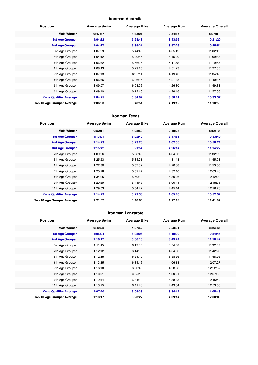#### **Ironman Australia**

| <b>Position</b>               | <b>Average Swim</b> | <b>Average Bike</b> | <b>Average Run</b> | <b>Average Overall</b> |
|-------------------------------|---------------------|---------------------|--------------------|------------------------|
| <b>Male Winner</b>            | 0:47:37             | 4:43:01             | 2:54:15            | 8:27:01                |
| <b>1st Age Grouper</b>        | 1:04:32             | 5:28:43             | 3:43:56            | 10:21:20               |
| 2nd Age Grouper               | 1:04:17             | 5:39:21             | 3:57:26            | 10:45:54               |
| 3rd Age Grouper               | 1:07:29             | 5:44:48             | 4:05:19            | 11:02:42               |
| 4th Age Grouper               | 1:04:42             | 5:20:46             | 4:45:20            | 11:09:48               |
| 5th Age Grouper               | 1:06:52             | 5:56:25             | 4:11:52            | 11:19:55               |
| 6th Age Grouper               | 1:08:43             | 5:29:15             | 4:51:23            | 11:27:55               |
| 7th Age Grouper               | 1:07:13             | 6:02:11             | 4:19:40            | 11:34:48               |
| 8th Age Grouper               | 1:06:36             | 6:06:36             | 4:21:48            | 11:40:37               |
| 9th Age Grouper               | 1:09:07             | 6:08:06             | 4:26:30            | 11:49:33               |
| 10th Age Grouper              | 1:09:19             | 6:12:18             | 4:28:48            | 11:57:08               |
| <b>Kona Qualifier Average</b> | 1:04:25             | 5:34:02             | 3:50:41            | 10:33:37               |
| Top 10 Age Grouper Average    | 1:06:53             | 5:48:51             | 4:19:12            | 11:18:58               |

#### **Ironman Texas**

| <b>Position</b>               | <b>Average Swim</b> | <b>Average Bike</b> | <b>Average Run</b> | <b>Average Overall</b> |
|-------------------------------|---------------------|---------------------|--------------------|------------------------|
| <b>Male Winner</b>            | 0:52:11             | 4:25:50             | 2:49:28            | 8:12:10                |
| <b>1st Age Grouper</b>        | 1:13:21             | 5:22:40             | 3:47:51            | 10:33:49               |
| 2nd Age Grouper               | 1:14:23             | 5:23:20             | 4:02:56            | 10:50:21               |
| 3rd Age Grouper               | 1:15:42             | 5:21:54             | 4:26:14            | 11:14:27               |
| 4th Age Grouper               | 1:09:26             | 5:38:48             | 4:34:03            | 11:32:39               |
| 5th Age Grouper               | 1:25:53             | 5:34:21             | 4:31:43            | 11:45:03               |
| 6th Age Grouper               | 1:22:30             | 5:57:02             | 4:20:38            | 11:53:50               |
| 7th Age Grouper               | 1:25:28             | 5:52:47             | 4:32:40            | 12:03:46               |
| 8th Age Grouper               | 1:34:25             | 5:50:39             | 4:30:26            | 12:12:09               |
| 9th Age Grouper               | 1:20:59             | 5:44:43             | 5:00:44            | 12:18:36               |
| 10th Age Grouper              | 1:29:03             | 5:54:42             | 4:45:44            | 12:26:28               |
| <b>Kona Qualifier Average</b> | 1:14:29             | 5:22:38             | 4:05:40            | 10:52:52               |
| Top 10 Age Grouper Average    | 1:21:07             | 5:40:05             | 4:27:18            | 11:41:07               |

#### **Ironman Lanzarote**

| <b>Position</b>               | <b>Average Swim</b> | <b>Average Bike</b> | <b>Average Run</b> | <b>Average Overall</b> |
|-------------------------------|---------------------|---------------------|--------------------|------------------------|
| <b>Male Winner</b>            | 0:49:28             | 4:57:52             | 2:53:31            | 8:46:42                |
| <b>1st Age Grouper</b>        | 1:05:04             | 6:05:06             | 3:19:00            | 10:54:45               |
| <b>2nd Age Grouper</b>        | 1:10:17             | 6:06:10             | 3:49:24            | 11:16:42               |
| 3rd Age Grouper               | 1:11:45             | 6:13:30             | 3:54:08            | 11:32:03               |
| 4th Age Grouper               | 1:12:12             | 6:14:33             | 4:04:30            | 11:42:23               |
| 5th Age Grouper               | 1:12:35             | 6:24:40             | 3:58:26            | 11:48:26               |
| 6th Age Grouper               | 1:13:35             | 6:34:46             | 4:06:18            | 12:07:27               |
| 7th Age Grouper               | 1:16:10             | 6:23:40             | 4:28:28            | 12:22:37               |
| 8th Age Grouper               | 1:18:31             | 6:35:48             | 4:30:21            | 12:37:35               |
| 9th Age Grouper               | 1:19:14             | 6:34:30             | 4:38:43            | 12:45:42               |
| 10th Age Grouper              | 1:13:25             | 6:41:46             | 4:43:04            | 12:53:50               |
| <b>Kona Qualifier Average</b> | 1:07:40             | 6:05:38             | 3:34:12            | 11:05:43               |
| Top 10 Age Grouper Average    | 1:13:17             | 6:23:27             | 4:09:14            | 12:00:09               |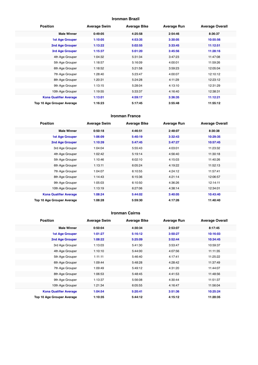#### **Ironman Brazil**

| <b>Position</b>               | <b>Average Swim</b> | <b>Average Bike</b> | <b>Average Run</b> | <b>Average Overall</b> |
|-------------------------------|---------------------|---------------------|--------------------|------------------------|
| <b>Male Winner</b>            | 0:49:05             | 4:25:58             | 2:54:46            | 8:36:37                |
| <b>1st Age Grouper</b>        | 1:10:05             | 4:53:35             | 3:30:05            | 10:55:56               |
| 2nd Age Grouper               | 1:13:22             | 5:02:55             | 3:33:45            | 11:12:51               |
| 3rd Age Grouper               | 1:15:37             | 5:01:20             | 3:45:56            | 11:28:16               |
| 4th Age Grouper               | 1:04:32             | 5:31:34             | 3:47:23            | 11:47:08               |
| 5th Age Grouper               | 1:18:57             | 5:16:09             | 4:00:01            | 11:59:26               |
| 6th Age Grouper               | 1:18:52             | 5:21:58             | 3:59:23            | 12:05:04               |
| 7th Age Grouper               | 1:28:40             | 5:23:47             | 4:00:07            | 12:10:12               |
| 8th Age Grouper               | 1:20:31             | 5:24:28             | 4:11:29            | 12:23:12               |
| 9th Age Grouper               | 1:13:15             | 5:28:04             | 4:13:10            | 12:31:29               |
| 10th Age Grouper              | 1:19:55             | 5:33:37             | 4:16:40            | 12:38:31               |
| <b>Kona Qualifier Average</b> | 1:13:01             | 4:59:17             | 3:36:35            | 11:12:21               |
| Top 10 Age Grouper Average    | 1:16:23             | 5:17:45             | 3:55:48            | 11:55:12               |

#### **Ironman France**

| <b>Position</b>               | <b>Average Swim</b> | <b>Average Bike</b> | <b>Average Run</b> | <b>Average Overall</b> |
|-------------------------------|---------------------|---------------------|--------------------|------------------------|
| <b>Male Winner</b>            | 0:50:18             | 4:46:51             | 2:48:07            | 8:30:38                |
| <b>1st Age Grouper</b>        | 1:06:09             | 5:40:19             | 3:32:43            | 10:29:35               |
| 2nd Age Grouper               | 1:10:39             | 5:47:45             | 3:47:27            | 10:57:45               |
| 3rd Age Grouper               | 1:04:04             | 5:55:43             | 4:03:01            | 11:23:32               |
| 4th Age Grouper               | 1:02:42             | 5:19:14             | 4:56:40            | 11:30:18               |
| 5th Age Grouper               | 1:10:46             | 6:02:10             | 4:15:03            | 11:40:26               |
| 6th Age Grouper               | 1:13:11             | 6:05:24             | 4:19:22            | 11:52:13               |
| 7th Age Grouper               | 1:04:07             | 6:10:55             | 4:24:12            | 11:57:41               |
| 8th Age Grouper               | 1:14:43             | 6:15:36             | 4:21:14            | 12:06:57               |
| 9th Age Grouper               | 1:05:03             | 6:10:50             | 4:36:26            | 12:14:11               |
| 10th Age Grouper              | 1:13:19             | 6:27:06             | 4:38:14            | 12:34:01               |
| <b>Kona Qualifier Average</b> | 1:08:24             | 5:44:02             | 3:40:05            | 10:43:40               |
| Top 10 Age Grouper Average    | 1:08:28             | 5:59:30             | 4:17:26            | 11:40:40               |

#### **Ironman Cairns**

| <b>Position</b>               | <b>Average Swim</b> | <b>Average Bike</b> | <b>Average Run</b> | <b>Average Overall</b> |
|-------------------------------|---------------------|---------------------|--------------------|------------------------|
| <b>Male Winner</b>            | 0:50:04             | 4:30:34             | 2:53:07            | 8:17:45                |
| <b>1st Age Grouper</b>        | 1:01:27             | 5:16:12             | 3:50:27            | 10:16:03               |
| <b>2nd Age Grouper</b>        | 1:08:22             | 5:25:09             | 3:52:44            | 10:34:45               |
| 3rd Age Grouper               | 1:13:03             | 5:41:30             | 3:53:47            | 10:59:37               |
| 4th Age Grouper               | 1:10:10             | 5:44:00             | 4:07:56            | 11:11:35               |
| 5th Age Grouper               | 1:11:11             | 5:46:40             | 4:17:41            | 11:25:22               |
| 6th Age Grouper               | 1:09:44             | 5:48:28             | 4:28:42            | 11:37:49               |
| 7th Age Grouper               | 1:09:49             | 5:49:12             | 4:31:20            | 11:44:07               |
| 8th Age Grouper               | 1:06:53             | 5:48:45             | 4:41:53            | 11:48:56               |
| 9th Age Grouper               | 1:13:37             | 5:56:08             | 4:30:44            | 11:51:37               |
| 10th Age Grouper              | 1:21:34             | 6:05:55             | 4:16:47            | 11:56:04               |
| <b>Kona Qualifier Average</b> | 1:04:54             | 5:20:41             | 3:51:36            | 10:25:24               |
| Top 10 Age Grouper Average    | 1:10:35             | 5:44:12             | 4:15:12            | 11:20:35               |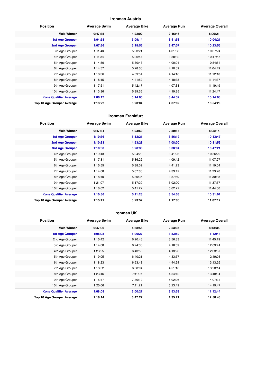#### **Ironman Austria**

| <b>Position</b>               | <b>Average Swim</b> | <b>Average Bike</b> | <b>Average Run</b> | <b>Average Overall</b> |
|-------------------------------|---------------------|---------------------|--------------------|------------------------|
| <b>Male Winner</b>            | 0:47:35             | 4:22:02             | 2:46:46            | 8:00:21                |
| <b>1st Age Grouper</b>        | 1:04:58             | 5:09:14             | 3:41:58            | 10:04:21               |
| 2nd Age Grouper               | 1:07:36             | 5:18:56             | 3:47:07            | 10:23:55               |
| 3rd Age Grouper               | 1:11:48             | 5:23:21             | 4:31:58            | 10:37:24               |
| 4th Age Grouper               | 1:11:34             | 5:26:44             | 3:58:32            | 10:47:57               |
| 5th Age Grouper               | 1:14:50             | 5:30:43             | 4:00:01            | 10:54:54               |
| 6th Age Grouper               | 1:14:37             | 5:28:08             | 4:10:39            | 11:04:49               |
| 7th Age Grouper               | 1:18:36             | 4:59:54             | 4:14:16            | 11:12:18               |
| 8th Age Grouper               | 1:18:15             | 4:41:52             | 4:18:35            | 11:14:37               |
| 9th Age Grouper               | 1:17:51             | 5:42:17             | 4:07:38            | 11:19:49               |
| 10th Age Grouper              | 1:13:36             | 5:39:36             | 4:19:35            | 11:24:47               |
| <b>Kona Qualifier Average</b> | 1:06:17             | 5:14:05             | 3:44:32            | 10:14:08               |
| Top 10 Age Grouper Average    | 1:13:22             | 5:20:04             | 4:07:02            | 10:54:29               |

#### **Ironman Frankfurt**

| <b>Position</b>               | <b>Average Swim</b> | <b>Average Bike</b> | <b>Average Run</b> | <b>Average Overall</b> |
|-------------------------------|---------------------|---------------------|--------------------|------------------------|
| <b>Male Winner</b>            | 0:47:34             | 4:23:50             | 2:50:18            | 8:05:14                |
| <b>1st Age Grouper</b>        | 1:10:36             | 5:12:21             | 3:56:19            | 10:13:47               |
| 2nd Age Grouper               | 1:10:33             | 4:53:28             | 4:08:00            | 10:31:56               |
| 3rd Age Grouper               | 1:10:38             | 5:28:33             | 3:38:04            | 10:47:21               |
| 4th Age Grouper               | 1:19:43             | 5:24:29             | 3:41:26            | 10:56:29               |
| 5th Age Grouper               | 1:17:31             | 5:36:22             | 4:09:42            | 11:07:27               |
| 6th Age Grouper               | 1:15:55             | 5:38:02             | 4:41:23            | 11:19:04               |
| 7th Age Grouper               | 1:14:08             | 5:07:00             | 4:33:42            | 11:23:20               |
| 8th Age Grouper               | 1:18:40             | 5:39:36             | 3:57:49            | 11:30:38               |
| 9th Age Grouper               | 1:21:07             | 5:17:29             | 5:02:00            | 11:37:57               |
| 10th Age Grouper              | 1:18:02             | 5:41:22             | 5:02:22            | 11:44:50               |
| <b>Kona Qualifier Average</b> | 1:10:36             | 5:11:28             | 3:54:08            | 10:31:01               |
| Top 10 Age Grouper Average    | 1:15:41             | 5:23:52             | 4:17:05            | 11:07:17               |

#### **Ironman UK**

| <b>Position</b>               | <b>Average Swim</b> | <b>Average Bike</b> | <b>Average Run</b> | <b>Average Overall</b> |
|-------------------------------|---------------------|---------------------|--------------------|------------------------|
| <b>Male Winner</b>            | 0:47:06             | 4:58:56             | 2:53:37            | 8:43:35                |
| <b>1st Age Grouper</b>        | 1:08:08             | 6:00:27             | 3:53:59            | 11:12:44               |
| 2nd Age Grouper               | 1:15:42             | 6:20:46             | 3:56:33            | 11:45:19               |
| 3rd Age Grouper               | 1:14:08             | 6:24:36             | 4:18:59            | 12:09:41               |
| 4th Age Grouper               | 1:23:25             | 6:43:53             | 4:13:26            | 12:33:37               |
| 5th Age Grouper               | 1:19:05             | 6:40:21             | 4:33:57            | 12:49:08               |
| 6th Age Grouper               | 1:18:23             | 6:53:48             | 4:44:24            | 13:13:26               |
| 7th Age Grouper               | 1:18:52             | 6:58:04             | 4:51:16            | 13:28:14               |
| 8th Age Grouper               | 1:23:46             | 7:11:07             | 4:54:42            | 13:48:31               |
| 9th Age Grouper               | 1:15:47             | 7:30:12             | 5:02:26            | 14:07:34               |
| 10th Age Grouper              | 1:25:06             | 7:11:21             | 5:23:49            | 14:19:47               |
| <b>Kona Qualifier Average</b> | 1:08:08             | 6:00:27             | 3:53:59            | 11:12:44               |
| Top 10 Age Grouper Average    | 1:18:14             | 6:47:27             | 4:35:21            | 12:56:48               |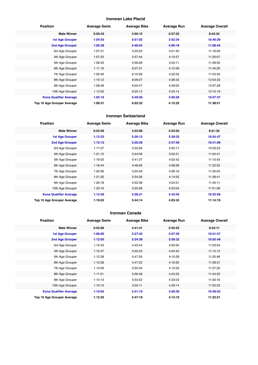#### **Ironman Lake Placid**

| <b>Position</b>               | <b>Average Swim</b> | <b>Average Bike</b> | <b>Average Run</b> | <b>Average Overall</b> |
|-------------------------------|---------------------|---------------------|--------------------|------------------------|
| <b>Male Winner</b>            | 0:50:43             | 4:50:15             | 2:57:23            | 8:43:34                |
| <b>1st Age Grouper</b>        | 1:04:55             | 5:51:02             | 3:52:34            | 10:46:29               |
| 2nd Age Grouper               | 1:05:38             | 5:48:54             | 4:00:18            | 11:08:45               |
| 3rd Age Grouper               | 1:07:31             | 5:55:03             | 4:01:40            | 11:18:09               |
| 4th Age Grouper               | 1:07:23             | 5:57:44             | 4:10:57            | 11:30:07               |
| 5th Age Grouper               | 1:09:43             | 5:56:08             | 4:22:11            | 11:39:50               |
| 6th Age Grouper               | 1:11:18             | 6:07:31             | 4:12:38            | 11:45:20               |
| 7th Age Grouper               | 1:05:49             | 6:10:28             | 4:22:35            | 11:53:45               |
| 8th Age Grouper               | 1:10:12             | 6:09:37             | 4:28:33            | 12:03:23               |
| 9th Age Grouper               | 1:08:48             | 6:03:47             | 4:39:05            | 12:07:28               |
| 10th Age Grouper              | 1:13:50             | 6:25:12             | 4:23:14            | 12:15:19               |
| <b>Kona Qualifier Average</b> | 1:05:16             | 5:49:58             | 3:56:26            | 10:57:37               |
| Top 10 Age Grouper Average    | 1:08:31             | 6:02:32             | 4:15:22            | 11:38:51               |

#### **Ironman Switzerland**

| <b>Position</b>               | <b>Average Swim</b> | <b>Average Bike</b> | <b>Average Run</b> | <b>Average Overall</b> |
|-------------------------------|---------------------|---------------------|--------------------|------------------------|
| <b>Male Winner</b>            | 0:53:56             | 4:32:06             | 2:53:03            | 8:21:35                |
| <b>1st Age Grouper</b>        | 1:12:23             | 5:26:12             | 3:39:32            | 10:24:47               |
| 2nd Age Grouper               | 1:15:10             | 5:30:29             | 3:47:59            | 10:41:09               |
| 3rd Age Grouper               | 1:17:27             | 5:33:26             | 3:55:17            | 10:53:53               |
| 4th Age Grouper               | 1:21:15             | 5:44:09             | 3:52:31            | 11:04:41               |
| 5th Age Grouper               | 1:19:30             | 5:41:37             | 4:02:42            | 11:10:43               |
| 6th Age Grouper               | 1:18:44             | 5:48:26             | 4:08:38            | 11:22:52               |
| 7th Age Grouper               | 1:20:56             | 5:55:49             | 4:06:16            | 11:30:04               |
| 8th Age Grouper               | 1:21:32             | 5:54:26             | 4:14:55            | 11:38:41               |
| 9th Age Grouper               | 1:20:18             | 5:52:38             | 4:24:31            | 11:45:11               |
| 10th Age Grouper              | 1:23:19             | 5:55:08             | 4:23:04            | 11:51:06               |
| <b>Kona Qualifier Average</b> | 1:13:46             | 5:28:21             | 3:43:45            | 10:32:58               |
| Top 10 Age Grouper Average    | 1:19:03             | 5:44:14             | 4:03:32            | 11:14:19               |

#### **Ironman Canada**

| <b>Position</b>               | <b>Average Swim</b> | <b>Average Bike</b> | <b>Average Run</b> | <b>Average Overall</b> |
|-------------------------------|---------------------|---------------------|--------------------|------------------------|
| <b>Male Winner</b>            | 0:52:06             | 4:41:41             | 2:55:55            | 8:33:11                |
| 1st Age Grouper               | 1:08:00             | 5:27:42             | 3:57:29            | 10:41:57               |
| 2nd Age Grouper               | 1:12:05             | 5:34:39             | 3:59:32            | 10:55:49               |
| 3rd Age Grouper               | 1:10:43             | 5:43:44             | 4:00:50            | 11:03:54               |
| 4th Age Grouper               | 1:10:47             | 5:50:23             | 4:04:42            | 11:15:12               |
| 5th Age Grouper               | 1:12:38             | 5:47:50             | 4:10:28            | 11:20:46               |
| 6th Age Grouper               | 1:12:28             | 5:47:22             | 4:16:30            | 11:28:31               |
| 7th Age Grouper               | 1:13:59             | 5:55:40             | 4:15:33            | 11:37:20               |
| 8th Age Grouper               | 1:11:51             | 5:56:46             | 4:24:22            | 11:44:25               |
| 9th Age Grouper               | 1:14:13             | 5:53:52             | 4:33:03            | 11:50:16               |
| 10th Age Grouper              | 1:19:10             | 5:55:11             | 4:29:14            | 11:55:22               |
| <b>Kona Qualifier Average</b> | 1:10:02             | 5:31:10             | 3:58:30            | 10:48:53               |
| Top 10 Age Grouper Average    | 1:12:35             | 5:47:19             | 4:13:10            | 11:23:21               |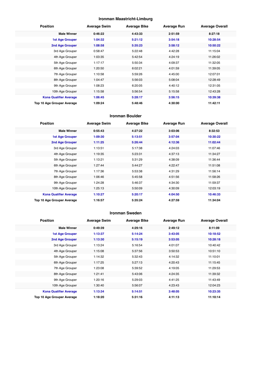#### **Ironman Maastricht-Limburg**

| <b>Position</b>               | <b>Average Swim</b> | <b>Average Bike</b> | <b>Average Run</b> | <b>Average Overall</b> |
|-------------------------------|---------------------|---------------------|--------------------|------------------------|
| <b>Male Winner</b>            | 0:46:22             | 4:43:33             | 2:51:59            | 8:27:18                |
| <b>1st Age Grouper</b>        | 1:04:32             | 5:21:12             | 3:54:18            | 10:28:54               |
| 2nd Age Grouper               | 1:08:58             | 5:35:23             | 3:58:12            | 10:50:22               |
| 3rd Age Grouper               | 0:58:47             | 5:22:48             | 4:42:28            | 11:15:04               |
| 4th Age Grouper               | 1:03:35             | 5:42:54             | 4:24:19            | 11:26:02               |
| 5th Age Grouper               | 1:17:17             | 5:50:34             | 4:09:37            | 11:32:05               |
| 6th Age Grouper               | 1:20:50             | 6:02:21             | 4:01:59            | 11:39:05               |
| 7th Age Grouper               | 1:10:58             | 5:59:26             | 4:45:00            | 12:07:01               |
| 8th Age Grouper               | 1:04:47             | 5:56:03             | 5:08:04            | 12:28:49               |
| 9th Age Grouper               | 1:08:23             | 6:20:05             | 4:40:12            | 12:31:05               |
| 10th Age Grouper              | 1:15:58             | 5:56:54             | 5:15:58            | 12:43:28               |
| <b>Kona Qualifier Average</b> | 1:06:45             | 5:28:17             | 3:56:15            | 10:39:38               |
| Top 10 Age Grouper Average    | 1:09:24             | 5:48:46             | 4:30:00            | 11:42:11               |

#### **Ironman Boulder**

| <b>Position</b>               | <b>Average Swim</b> | <b>Average Bike</b> | <b>Average Run</b> | <b>Average Overall</b> |
|-------------------------------|---------------------|---------------------|--------------------|------------------------|
| <b>Male Winner</b>            | 0:55:43             | 4:27:22             | 3:03:06            | 8:32:53                |
| <b>1st Age Grouper</b>        | 1:09:30             | 5:13:51             | 3:57:04            | 10:30:22               |
| 2nd Age Grouper               | 1:11:25             | 5:26:44             | 4:12:36            | 11:02:44               |
| 3rd Age Grouper               | 1:13:51             | 5:17:38             | 4:24:03            | 11:07:46               |
| 4th Age Grouper               | 1:19:35             | 5:23:31             | 4:37:13            | 11:34:27               |
| 5th Age Grouper               | 1:13:21             | 5:31:29             | 4:38:09            | 11:36:44               |
| 6th Age Grouper               | 1:27:44             | 5:44:27             | 4:22:47            | 11:51:08               |
| 7th Age Grouper               | 1:17:36             | 5:53:38             | 4:31:29            | 11:56:14               |
| 8th Age Grouper               | 1:06:46             | 5:45:58             | 4:51:56            | 11:58:26               |
| 9th Age Grouper               | 1:24:28             | 5:46:37             | 4:34:30            | 11:59:37               |
| 10th Age Grouper              | 1:25:13             | 5:50:09             | 4:30:09            | 12:03:19               |
| <b>Kona Qualifier Average</b> | 1:10:27             | 5:20:17             | 4:04:50            | 10:46:33               |
| Top 10 Age Grouper Average    | 1:16:57             | 5:35:24             | 4:27:59            | 11:34:04               |

#### **Ironman Sweden**

| <b>Position</b>               | <b>Average Swim</b> | <b>Average Bike</b> | <b>Average Run</b> | <b>Average Overall</b> |
|-------------------------------|---------------------|---------------------|--------------------|------------------------|
| <b>Male Winner</b>            | 0:49:39             | 4:29:16             | 2:49:12            | 8:11:09                |
| 1st Age Grouper               | 1:13:37             | 5:14:24             | 3:43:05            | 10:18:52               |
| 2nd Age Grouper               | 1:13:30             | 5:15:19             | 3:53:05            | 10:28:18               |
| 3rd Age Grouper               | 1:13:24             | 5:16:54             | 4:01:07            | 10:40:42               |
| 4th Age Grouper               | 1:15:08             | 5:37:56             | 3:50:53            | 10:51:10               |
| 5th Age Grouper               | 1:14:32             | 5:32:43             | 4:14:32            | 11:10:01               |
| 6th Age Grouper               | 1:17:25             | 5:27:13             | 4:20:43            | 11:15:45               |
| 7th Age Grouper               | 1:23:08             | 5:39:52             | 4:19:05            | 11:29:53               |
| 8th Age Grouper               | 1:21:41             | 5:43:06             | 4:24:35            | 11:39:32               |
| 9th Age Grouper               | 1:20:16             | 5:29:03             | 4:41:25            | 11:43:49               |
| 10th Age Grouper              | 1:30:40             | 5:56:07             | 4:23:43            | 12:04:23               |
| <b>Kona Qualifier Average</b> | 1:13:34             | 5:14:51             | 3:48:05            | 10:23:35               |
| Top 10 Age Grouper Average    | 1:18:20             | 5:31:16             | 4:11:13            | 11:10:14               |